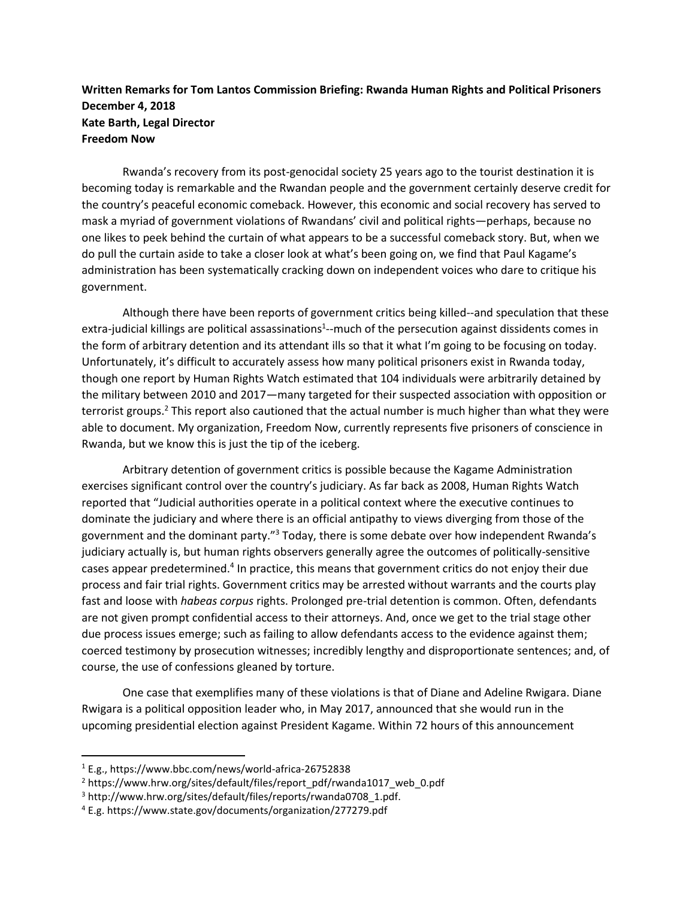## **Written Remarks for Tom Lantos Commission Briefing: Rwanda Human Rights and Political Prisoners December 4, 2018 Kate Barth, Legal Director Freedom Now**

Rwanda's recovery from its post-genocidal society 25 years ago to the tourist destination it is becoming today is remarkable and the Rwandan people and the government certainly deserve credit for the country's peaceful economic comeback. However, this economic and social recovery has served to mask a myriad of government violations of Rwandans' civil and political rights—perhaps, because no one likes to peek behind the curtain of what appears to be a successful comeback story. But, when we do pull the curtain aside to take a closer look at what's been going on, we find that Paul Kagame's administration has been systematically cracking down on independent voices who dare to critique his government.

Although there have been reports of government critics being killed--and speculation that these extra-judicial killings are political assassinations<sup>1</sup>--much of the persecution against dissidents comes in the form of arbitrary detention and its attendant ills so that it what I'm going to be focusing on today. Unfortunately, it's difficult to accurately assess how many political prisoners exist in Rwanda today, though one report by Human Rights Watch estimated that 104 individuals were arbitrarily detained by the military between 2010 and 2017—many targeted for their suspected association with opposition or terrorist groups.<sup>2</sup> This report also cautioned that the actual number is much higher than what they were able to document. My organization, Freedom Now, currently represents five prisoners of conscience in Rwanda, but we know this is just the tip of the iceberg.

Arbitrary detention of government critics is possible because the Kagame Administration exercises significant control over the country's judiciary. As far back as 2008, Human Rights Watch reported that "Judicial authorities operate in a political context where the executive continues to dominate the judiciary and where there is an official antipathy to views diverging from those of the government and the dominant party."<sup>3</sup> Today, there is some debate over how independent Rwanda's judiciary actually is, but human rights observers generally agree the outcomes of politically-sensitive cases appear predetermined.<sup>4</sup> In practice, this means that government critics do not enjoy their due process and fair trial rights. Government critics may be arrested without warrants and the courts play fast and loose with *habeas corpus* rights. Prolonged pre-trial detention is common. Often, defendants are not given prompt confidential access to their attorneys. And, once we get to the trial stage other due process issues emerge; such as failing to allow defendants access to the evidence against them; coerced testimony by prosecution witnesses; incredibly lengthy and disproportionate sentences; and, of course, the use of confessions gleaned by torture.

One case that exemplifies many of these violations is that of Diane and Adeline Rwigara. Diane Rwigara is a political opposition leader who, in May 2017, announced that she would run in the upcoming presidential election against President Kagame. Within 72 hours of this announcement

l

<sup>1</sup> E.g., https://www.bbc.com/news/world-africa-26752838

<sup>&</sup>lt;sup>2</sup> https://www.hrw.org/sites/default/files/report\_pdf/rwanda1017\_web\_0.pdf

<sup>&</sup>lt;sup>3</sup> http://www.hrw.org/sites/default/files/reports/rwanda0708\_1.pdf.

<sup>4</sup> E.g. https://www.state.gov/documents/organization/277279.pdf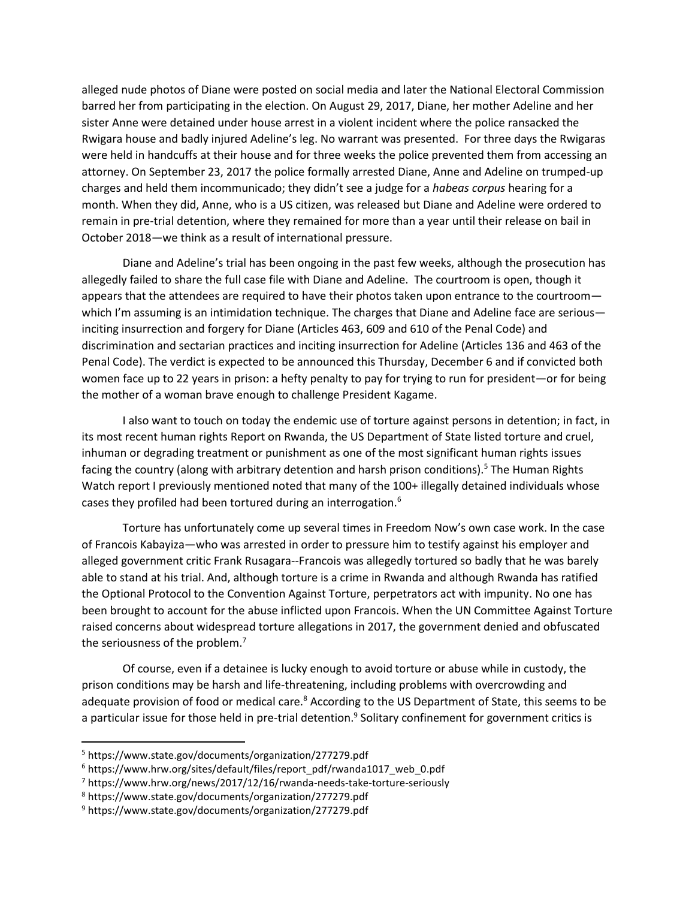alleged nude photos of Diane were posted on social media and later the National Electoral Commission barred her from participating in the election. On August 29, 2017, Diane, her mother Adeline and her sister Anne were detained under house arrest in a violent incident where the police ransacked the Rwigara house and badly injured Adeline's leg. No warrant was presented. For three days the Rwigaras were held in handcuffs at their house and for three weeks the police prevented them from accessing an attorney. On September 23, 2017 the police formally arrested Diane, Anne and Adeline on trumped-up charges and held them incommunicado; they didn't see a judge for a *habeas corpus* hearing for a month. When they did, Anne, who is a US citizen, was released but Diane and Adeline were ordered to remain in pre-trial detention, where they remained for more than a year until their release on bail in October 2018—we think as a result of international pressure.

Diane and Adeline's trial has been ongoing in the past few weeks, although the prosecution has allegedly failed to share the full case file with Diane and Adeline. The courtroom is open, though it appears that the attendees are required to have their photos taken upon entrance to the courtroom which I'm assuming is an intimidation technique. The charges that Diane and Adeline face are serious inciting insurrection and forgery for Diane (Articles 463, 609 and 610 of the Penal Code) and discrimination and sectarian practices and inciting insurrection for Adeline (Articles 136 and 463 of the Penal Code). The verdict is expected to be announced this Thursday, December 6 and if convicted both women face up to 22 years in prison: a hefty penalty to pay for trying to run for president—or for being the mother of a woman brave enough to challenge President Kagame.

I also want to touch on today the endemic use of torture against persons in detention; in fact, in its most recent human rights Report on Rwanda, the US Department of State listed torture and cruel, inhuman or degrading treatment or punishment as one of the most significant human rights issues facing the country (along with arbitrary detention and harsh prison conditions).<sup>5</sup> The Human Rights Watch report I previously mentioned noted that many of the 100+ illegally detained individuals whose cases they profiled had been tortured during an interrogation.<sup>6</sup>

Torture has unfortunately come up several times in Freedom Now's own case work. In the case of Francois Kabayiza—who was arrested in order to pressure him to testify against his employer and alleged government critic Frank Rusagara--Francois was allegedly tortured so badly that he was barely able to stand at his trial. And, although torture is a crime in Rwanda and although Rwanda has ratified the Optional Protocol to the Convention Against Torture, perpetrators act with impunity. No one has been brought to account for the abuse inflicted upon Francois. When the UN Committee Against Torture raised concerns about widespread torture allegations in 2017, the government denied and obfuscated the seriousness of the problem.<sup>7</sup>

Of course, even if a detainee is lucky enough to avoid torture or abuse while in custody, the prison conditions may be harsh and life-threatening, including problems with overcrowding and adequate provision of food or medical care.<sup>8</sup> According to the US Department of State, this seems to be a particular issue for those held in pre-trial detention.<sup>9</sup> Solitary confinement for government critics is

 $\overline{\phantom{a}}$ 

<sup>5</sup> https://www.state.gov/documents/organization/277279.pdf

 $6$  https://www.hrw.org/sites/default/files/report\_pdf/rwanda1017\_web\_0.pdf

<sup>7</sup> <https://www.hrw.org/news/2017/12/16/rwanda-needs-take-torture-seriously>

<sup>8</sup> https://www.state.gov/documents/organization/277279.pdf

<sup>9</sup> https://www.state.gov/documents/organization/277279.pdf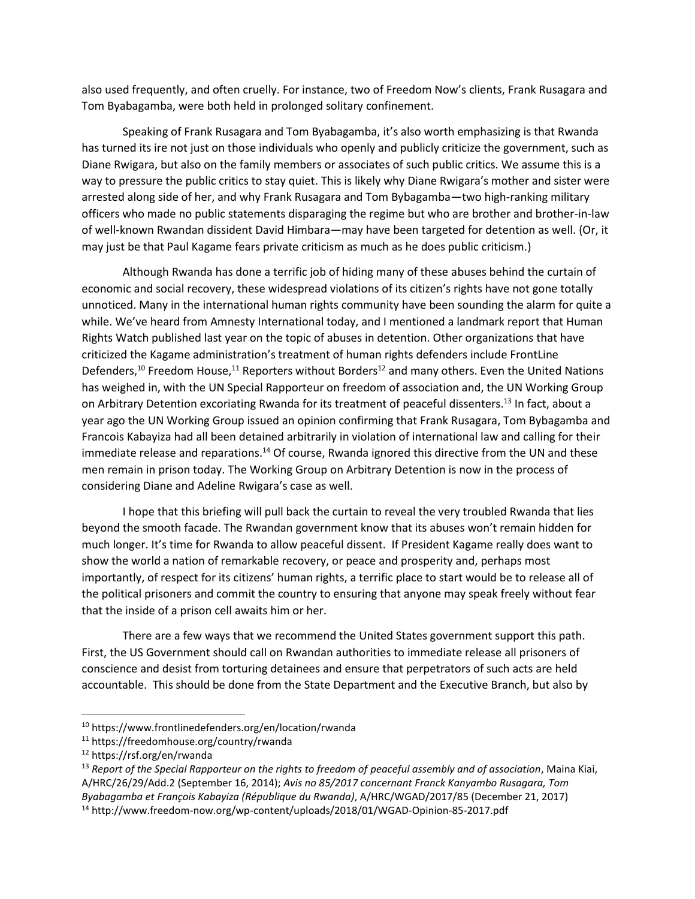also used frequently, and often cruelly. For instance, two of Freedom Now's clients, Frank Rusagara and Tom Byabagamba, were both held in prolonged solitary confinement.

Speaking of Frank Rusagara and Tom Byabagamba, it's also worth emphasizing is that Rwanda has turned its ire not just on those individuals who openly and publicly criticize the government, such as Diane Rwigara, but also on the family members or associates of such public critics. We assume this is a way to pressure the public critics to stay quiet. This is likely why Diane Rwigara's mother and sister were arrested along side of her, and why Frank Rusagara and Tom Bybagamba—two high-ranking military officers who made no public statements disparaging the regime but who are brother and brother-in-law of well-known Rwandan dissident David Himbara—may have been targeted for detention as well. (Or, it may just be that Paul Kagame fears private criticism as much as he does public criticism.)

Although Rwanda has done a terrific job of hiding many of these abuses behind the curtain of economic and social recovery, these widespread violations of its citizen's rights have not gone totally unnoticed. Many in the international human rights community have been sounding the alarm for quite a while. We've heard from Amnesty International today, and I mentioned a landmark report that Human Rights Watch published last year on the topic of abuses in detention. Other organizations that have criticized the Kagame administration's treatment of human rights defenders include FrontLine Defenders,<sup>10</sup> Freedom House,<sup>11</sup> Reporters without Borders<sup>12</sup> and many others. Even the United Nations has weighed in, with the UN Special Rapporteur on freedom of association and, the UN Working Group on Arbitrary Detention excoriating Rwanda for its treatment of peaceful dissenters.<sup>13</sup> In fact, about a year ago the UN Working Group issued an opinion confirming that Frank Rusagara, Tom Bybagamba and Francois Kabayiza had all been detained arbitrarily in violation of international law and calling for their immediate release and reparations.<sup>14</sup> Of course, Rwanda ignored this directive from the UN and these men remain in prison today. The Working Group on Arbitrary Detention is now in the process of considering Diane and Adeline Rwigara's case as well.

I hope that this briefing will pull back the curtain to reveal the very troubled Rwanda that lies beyond the smooth facade. The Rwandan government know that its abuses won't remain hidden for much longer. It's time for Rwanda to allow peaceful dissent. If President Kagame really does want to show the world a nation of remarkable recovery, or peace and prosperity and, perhaps most importantly, of respect for its citizens' human rights, a terrific place to start would be to release all of the political prisoners and commit the country to ensuring that anyone may speak freely without fear that the inside of a prison cell awaits him or her.

There are a few ways that we recommend the United States government support this path. First, the US Government should call on Rwandan authorities to immediate release all prisoners of conscience and desist from torturing detainees and ensure that perpetrators of such acts are held accountable. This should be done from the State Department and the Executive Branch, but also by

 $\overline{\phantom{a}}$ 

<sup>10</sup> https://www.frontlinedefenders.org/en/location/rwanda

<sup>11</sup> https://freedomhouse.org/country/rwanda

<sup>12</sup> https://rsf.org/en/rwanda

<sup>13</sup> *Report of the Special Rapporteur on the rights to freedom of peaceful assembly and of association*, Maina Kiai, A/HRC/26/29/Add.2 (September 16, 2014); *Avis no 85/2017 concernant Franck Kanyambo Rusagara, Tom Byabagamba et François Kabayiza (République du Rwanda)*, A/HRC/WGAD/2017/85 (December 21, 2017)

<sup>14</sup> http://www.freedom-now.org/wp-content/uploads/2018/01/WGAD-Opinion-85-2017.pdf